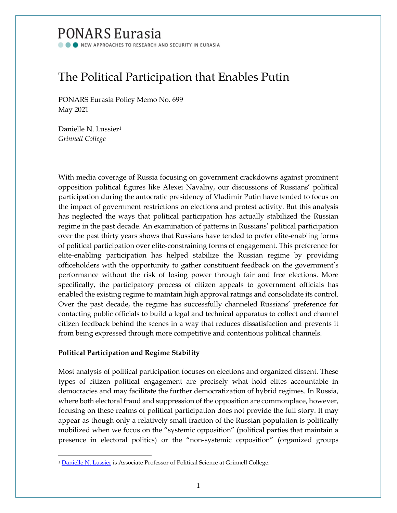# **PONARS Eurasia**

NEW APPROACHES TO RESEARCH AND SECURITY IN EURASIA

# The Political Participation that Enables Putin

PONARS Eurasia Policy Memo No. 699 May 2021

Danielle N. Lussier[1](#page-0-0) *Grinnell College*

With media coverage of Russia focusing on government crackdowns against prominent opposition political figures like Alexei Navalny, our discussions of Russians' political participation during the autocratic presidency of Vladimir Putin have tended to focus on the impact of government restrictions on elections and protest activity. But this analysis has neglected the ways that political participation has actually stabilized the Russian regime in the past decade. An examination of patterns in Russians' political participation over the past thirty years shows that Russians have tended to prefer elite-enabling forms of political participation over elite-constraining forms of engagement. This preference for elite-enabling participation has helped stabilize the Russian regime by providing officeholders with the opportunity to gather constituent feedback on the government's performance without the risk of losing power through fair and free elections. More specifically, the participatory process of citizen appeals to government officials has enabled the existing regime to maintain high approval ratings and consolidate its control. Over the past decade, the regime has successfully channeled Russians' preference for contacting public officials to build a legal and technical apparatus to collect and channel citizen feedback behind the scenes in a way that reduces dissatisfaction and prevents it from being expressed through more competitive and contentious political channels.

# **Political Participation and Regime Stability**

Most analysis of political participation focuses on elections and organized dissent. These types of citizen political engagement are precisely what hold elites accountable in democracies and may facilitate the further democratization of hybrid regimes. In Russia, where both electoral fraud and suppression of the opposition are commonplace, however, focusing on these realms of political participation does not provide the full story. It may appear as though only a relatively small fraction of the Russian population is politically mobilized when we focus on the "systemic opposition" (political parties that maintain a presence in electoral politics) or the "non-systemic opposition" (organized groups

<span id="page-0-0"></span><sup>&</sup>lt;sup>1</sup> [Danielle N.](https://www.ponarseurasia.org/membership/) Lussier is Associate Professor of Political Science at Grinnell College.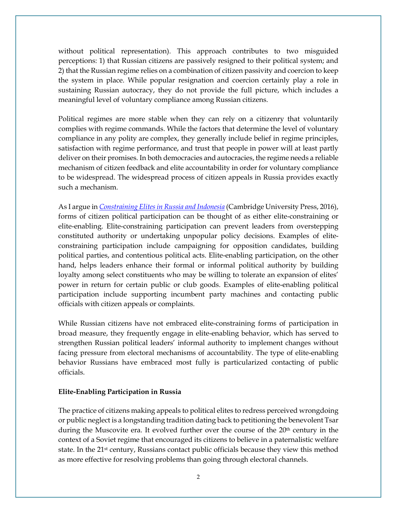without political representation). This approach contributes to two misguided perceptions: 1) that Russian citizens are passively resigned to their political system; and 2) that the Russian regime relies on a combination of citizen passivity and coercion to keep the system in place. While popular resignation and coercion certainly play a role in sustaining Russian autocracy, they do not provide the full picture, which includes a meaningful level of voluntary compliance among Russian citizens.

Political regimes are more stable when they can rely on a citizenry that voluntarily complies with regime commands. While the factors that determine the level of voluntary compliance in any polity are complex, they generally include belief in regime principles, satisfaction with regime performance, and trust that people in power will at least partly deliver on their promises. In both democracies and autocracies, the regime needs a reliable mechanism of citizen feedback and elite accountability in order for voluntary compliance to be widespread. The widespread process of citizen appeals in Russia provides exactly such a mechanism.

As I argue in *[Constraining Elites in Russia and Indonesia](https://www.cambridge.org/core/books/constraining-elites-in-russia-and-indonesia/DAA20EB526E8179020EED9B704078642)* (Cambridge University Press, 2016), forms of citizen political participation can be thought of as either elite-constraining or elite-enabling. Elite-constraining participation can prevent leaders from overstepping constituted authority or undertaking unpopular policy decisions. Examples of eliteconstraining participation include campaigning for opposition candidates, building political parties, and contentious political acts. Elite-enabling participation, on the other hand, helps leaders enhance their formal or informal political authority by building loyalty among select constituents who may be willing to tolerate an expansion of elites' power in return for certain public or club goods. Examples of elite-enabling political participation include supporting incumbent party machines and contacting public officials with citizen appeals or complaints.

While Russian citizens have not embraced elite-constraining forms of participation in broad measure, they frequently engage in elite-enabling behavior, which has served to strengthen Russian political leaders' informal authority to implement changes without facing pressure from electoral mechanisms of accountability. The type of elite-enabling behavior Russians have embraced most fully is particularized contacting of public officials.

#### **Elite-Enabling Participation in Russia**

The practice of citizens making appeals to political elites to redress perceived wrongdoing or public neglect is a longstanding tradition dating back to petitioning the benevolent Tsar during the Muscovite era. It evolved further over the course of the 20<sup>th</sup> century in the context of a Soviet regime that encouraged its citizens to believe in a paternalistic welfare state. In the 21<sup>st</sup> century, Russians contact public officials because they view this method as more effective for resolving problems than going through electoral channels.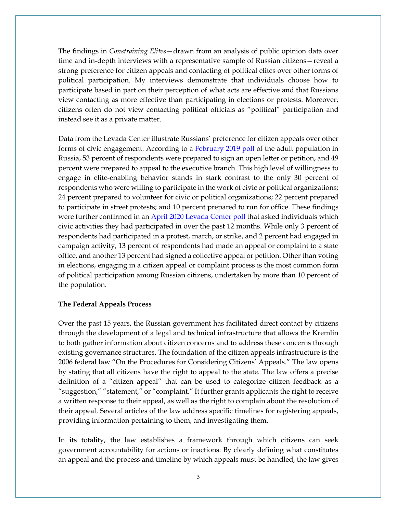The findings in *Constraining Elites*—drawn from an analysis of public opinion data over time and in-depth interviews with a representative sample of Russian citizens—reveal a strong preference for citizen appeals and contacting of political elites over other forms of political participation. My interviews demonstrate that individuals choose how to participate based in part on their perception of what acts are effective and that Russians view contacting as more effective than participating in elections or protests. Moreover, citizens often do not view contacting political officials as "political" participation and instead see it as a private matter.

Data from the Levada Center illustrate Russians' preference for citizen appeals over other forms of civic engagement. According to a [February 2019 poll](https://www.levada.ru/2019/02/13/grazhdanskaya-aktivnost/) of the adult population in Russia, 53 percent of respondents were prepared to sign an open letter or petition, and 49 percent were prepared to appeal to the executive branch. This high level of willingness to engage in elite-enabling behavior stands in stark contrast to the only 30 percent of respondents who were willing to participate in the work of civic or political organizations; 24 percent prepared to volunteer for civic or political organizations; 22 percent prepared to participate in street protests; and 10 percent prepared to run for office. These findings were further confirmed in an [April 2020 Levada Center poll](https://www.levada.ru/2020/04/27/grazhdanskaya-aktivnost-i-obshhestvennye-problemy/) that asked individuals which civic activities they had participated in over the past 12 months. While only 3 percent of respondents had participated in a protest, march, or strike, and 2 percent had engaged in campaign activity, 13 percent of respondents had made an appeal or complaint to a state office, and another 13 percent had signed a collective appeal or petition. Other than voting in elections, engaging in a citizen appeal or complaint process is the most common form of political participation among Russian citizens, undertaken by more than 10 percent of the population.

## **The Federal Appeals Process**

Over the past 15 years, the Russian government has facilitated direct contact by citizens through the development of a legal and technical infrastructure that allows the Kremlin to both gather information about citizen concerns and to address these concerns through existing governance structures. The foundation of the citizen appeals infrastructure is the 2006 federal law "On the Procedures for Considering Citizens' Appeals." The law opens by stating that all citizens have the right to appeal to the state. The law offers a precise definition of a "citizen appeal" that can be used to categorize citizen feedback as a "suggestion," "statement," or "complaint." It further grants applicants the right to receive a written response to their appeal, as well as the right to complain about the resolution of their appeal. Several articles of the law address specific timelines for registering appeals, providing information pertaining to them, and investigating them.

In its totality, the law establishes a framework through which citizens can seek government accountability for actions or inactions. By clearly defining what constitutes an appeal and the process and timeline by which appeals must be handled, the law gives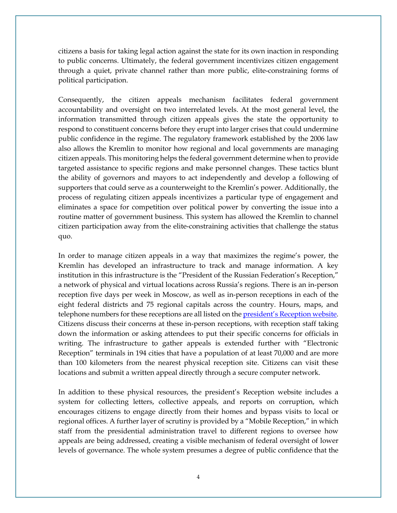citizens a basis for taking legal action against the state for its own inaction in responding to public concerns. Ultimately, the federal government incentivizes citizen engagement through a quiet, private channel rather than more public, elite-constraining forms of political participation.

Consequently, the citizen appeals mechanism facilitates federal government accountability and oversight on two interrelated levels. At the most general level, the information transmitted through citizen appeals gives the state the opportunity to respond to constituent concerns before they erupt into larger crises that could undermine public confidence in the regime. The regulatory framework established by the 2006 law also allows the Kremlin to monitor how regional and local governments are managing citizen appeals. This monitoring helps the federal government determine when to provide targeted assistance to specific regions and make personnel changes. These tactics blunt the ability of governors and mayors to act independently and develop a following of supporters that could serve as a counterweight to the Kremlin's power. Additionally, the process of regulating citizen appeals incentivizes a particular type of engagement and eliminates a space for competition over political power by converting the issue into a routine matter of government business. This system has allowed the Kremlin to channel citizen participation away from the elite-constraining activities that challenge the status quo.

In order to manage citizen appeals in a way that maximizes the regime's power, the Kremlin has developed an infrastructure to track and manage information. A key institution in this infrastructure is the "President of the Russian Federation's Reception," a network of physical and virtual locations across Russia's regions. There is an in-person reception five days per week in Moscow, as well as in-person receptions in each of the eight federal districts and 75 regional capitals across the country. Hours, maps, and telephone numbers for these receptions are all listed on the president's [Reception website.](http://letters.kremlin.ru/receptions/list)  Citizens discuss their concerns at these in-person receptions, with reception staff taking down the information or asking attendees to put their specific concerns for officials in writing. The infrastructure to gather appeals is extended further with "Electronic Reception" terminals in 194 cities that have a population of at least 70,000 and are more than 100 kilometers from the nearest physical reception site. Citizens can visit these locations and submit a written appeal directly through a secure computer network.

In addition to these physical resources, the president's Reception website includes a system for collecting letters, collective appeals, and reports on corruption, which encourages citizens to engage directly from their homes and bypass visits to local or regional offices. A further layer of scrutiny is provided by a "Mobile Reception," in which staff from the presidential administration travel to different regions to oversee how appeals are being addressed, creating a visible mechanism of federal oversight of lower levels of governance. The whole system presumes a degree of public confidence that the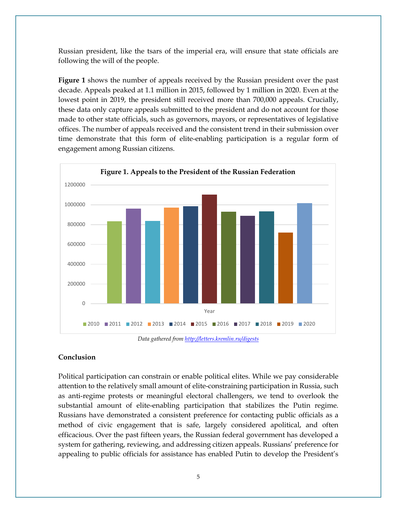Russian president, like the tsars of the imperial era, will ensure that state officials are following the will of the people.

**Figure 1** shows the number of appeals received by the Russian president over the past decade. Appeals peaked at 1.1 million in 2015, followed by 1 million in 2020. Even at the lowest point in 2019, the president still received more than 700,000 appeals. Crucially, these data only capture appeals submitted to the president and do not account for those made to other state officials, such as governors, mayors, or representatives of legislative offices. The number of appeals received and the consistent trend in their submission over time demonstrate that this form of elite-enabling participation is a regular form of engagement among Russian citizens.



*Data gathered fro[m http://letters.kremlin.ru/digests](http://letters.kremlin.ru/digests)*

## **Conclusion**

Political participation can constrain or enable political elites. While we pay considerable attention to the relatively small amount of elite-constraining participation in Russia, such as anti-regime protests or meaningful electoral challengers, we tend to overlook the substantial amount of elite-enabling participation that stabilizes the Putin regime. Russians have demonstrated a consistent preference for contacting public officials as a method of civic engagement that is safe, largely considered apolitical, and often efficacious. Over the past fifteen years, the Russian federal government has developed a system for gathering, reviewing, and addressing citizen appeals. Russians' preference for appealing to public officials for assistance has enabled Putin to develop the President's